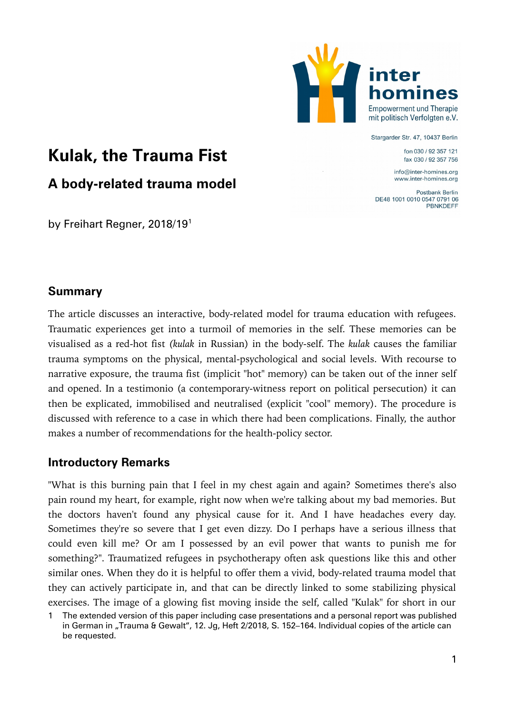

#### Stargarder Str. 47, 10437 Berlin

fon 030 / 92 357 121 fax 030 / 92 357 756

info@inter-homines.org www.inter-homines.org

Postbank Berlin DE48 1001 0010 0547 0791 06 **PBNKDEFF** 

# **Kulak, the Trauma Fist**

# **A body-related trauma model**

by Freihart Regner, 20[1](#page-0-0)8/19<sup>1</sup>

# **Summary**

The article discusses an interactive, body-related model for trauma education with refugees. Traumatic experiences get into a turmoil of memories in the self. These memories can be visualised as a red-hot fist *(kulak* in Russian) in the body-self. The *kulak* causes the familiar trauma symptoms on the physical, mental-psychological and social levels. With recourse to narrative exposure, the trauma fist (implicit "hot" memory) can be taken out of the inner self and opened. In a testimonio (a contemporary-witness report on political persecution) it can then be explicated, immobilised and neutralised (explicit "cool" memory). The procedure is discussed with reference to a case in which there had been complications. Finally, the author makes a number of recommendations for the health-policy sector.

# **Introductory Remarks**

"What is this burning pain that I feel in my chest again and again? Sometimes there's also pain round my heart, for example, right now when we're talking about my bad memories. But the doctors haven't found any physical cause for it. And I have headaches every day. Sometimes they're so severe that I get even dizzy. Do I perhaps have a serious illness that could even kill me? Or am I possessed by an evil power that wants to punish me for something?". Traumatized refugees in psychotherapy often ask questions like this and other similar ones. When they do it is helpful to offer them a vivid, body-related trauma model that they can actively participate in, and that can be directly linked to some stabilizing physical exercises. The image of a glowing fist moving inside the self, called "Kulak" for short in our

<span id="page-0-0"></span><sup>1</sup> The extended version of this paper including case presentations and a personal report was published in German in "Trauma & Gewalt", 12. Jg, Heft 2/2018, S. 152-164. Individual copies of the article can be requested.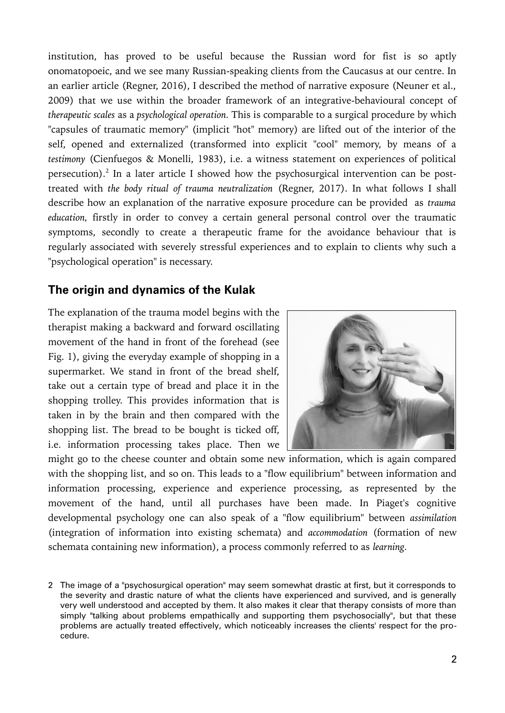institution, has proved to be useful because the Russian word for fist is so aptly onomatopoeic, and we see many Russian-speaking clients from the Caucasus at our centre. In an earlier article (Regner, 2016), I described the method of narrative exposure (Neuner et al., 2009) that we use within the broader framework of an integrative-behavioural concept of *therapeutic scales* as a *psychological operation.* This is comparable to a surgical procedure by which "capsules of traumatic memory" (implicit "hot" memory) are lifted out of the interior of the self, opened and externalized (transformed into explicit "cool" memory, by means of a *testimony* (Cienfuegos & Monelli, 1983), i.e. a witness statement on experiences of political persecution). $^{2}$  $^{2}$  $^{2}$  In a later article I showed how the psychosurgical intervention can be posttreated with *the body ritual of trauma neutralization* (Regner, 2017). In what follows I shall describe how an explanation of the narrative exposure procedure can be provided as *trauma education,* firstly in order to convey a certain general personal control over the traumatic symptoms, secondly to create a therapeutic frame for the avoidance behaviour that is regularly associated with severely stressful experiences and to explain to clients why such a "psychological operation" is necessary.

### **The origin and dynamics of the Kulak**

The explanation of the trauma model begins with the therapist making a backward and forward oscillating movement of the hand in front of the forehead (see Fig. 1), giving the everyday example of shopping in a supermarket. We stand in front of the bread shelf, take out a certain type of bread and place it in the shopping trolley. This provides information that is taken in by the brain and then compared with the shopping list. The bread to be bought is ticked off, i.e. information processing takes place. Then we



might go to the cheese counter and obtain some new information, which is again compared with the shopping list, and so on. This leads to a "flow equilibrium" between information and information processing, experience and experience processing, as represented by the movement of the hand, until all purchases have been made. In Piaget's cognitive developmental psychology one can also speak of a "flow equilibrium" between *assimilation* (integration of information into existing schemata) and *accommodation* (formation of new schemata containing new information), a process commonly referred to as *learning.*

<span id="page-1-0"></span><sup>2</sup> The image of a "psychosurgical operation" may seem somewhat drastic at first, but it corresponds to the severity and drastic nature of what the clients have experienced and survived, and is generally very well understood and accepted by them. It also makes it clear that therapy consists of more than simply "talking about problems empathically and supporting them psychosocially", but that these problems are actually treated effectively, which noticeably increases the clients' respect for the procedure.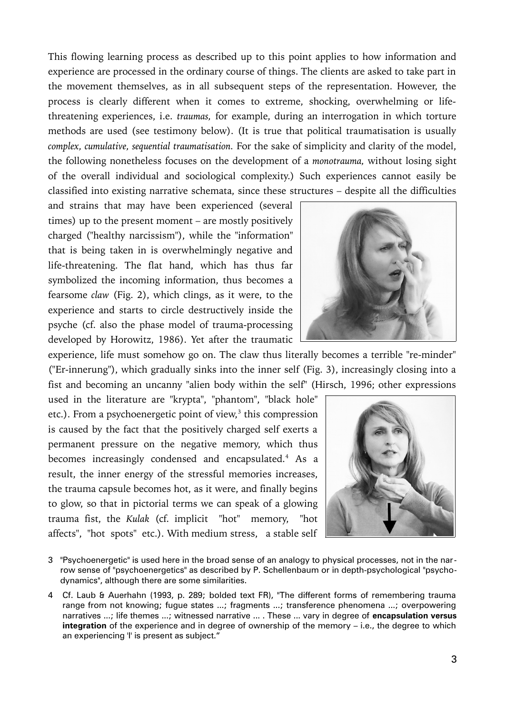This flowing learning process as described up to this point applies to how information and experience are processed in the ordinary course of things. The clients are asked to take part in the movement themselves, as in all subsequent steps of the representation. However, the process is clearly different when it comes to extreme, shocking, overwhelming or lifethreatening experiences, i.e. *traumas,* for example, during an interrogation in which torture methods are used (see testimony below). (It is true that political traumatisation is usually *complex, cumulative, sequential traumatisation.* For the sake of simplicity and clarity of the model, the following nonetheless focuses on the development of a *monotrauma,* without losing sight of the overall individual and sociological complexity.) Such experiences cannot easily be classified into existing narrative schemata, since these structures – despite all the difficulties

and strains that may have been experienced (several times) up to the present moment – are mostly positively charged ("healthy narcissism"), while the "information" that is being taken in is overwhelmingly negative and life-threatening. The flat hand, which has thus far symbolized the incoming information, thus becomes a fearsome *claw* (Fig. 2), which clings, as it were, to the experience and starts to circle destructively inside the psyche (cf. also the phase model of trauma-processing developed by Horowitz, 1986). Yet after the traumatic



experience, life must somehow go on. The claw thus literally becomes a terrible "re-minder" ("Er-innerung"), which gradually sinks into the inner self (Fig. 3), increasingly closing into a fist and becoming an uncanny "alien body within the self" (Hirsch, 1996; other expressions

used in the literature are "krypta", "phantom", "black hole" etc.). From a psychoenergetic point of view, $^3$  $^3$  this compression is caused by the fact that the positively charged self exerts a permanent pressure on the negative memory, which thus becomes increasingly condensed and encapsulated.<sup>[4](#page-2-1)</sup> As a result, the inner energy of the stressful memories increases, the trauma capsule becomes hot, as it were, and finally begins to glow, so that in pictorial terms we can speak of a glowing trauma fist, the *Kulak* (cf. implicit "hot" memory, "hot affects", "hot spots" etc.). With medium stress, a stable self



- <span id="page-2-0"></span>3 "Psychoenergetic" is used here in the broad sense of an analogy to physical processes, not in the narrow sense of "psychoenergetics" as described by P. Schellenbaum or in depth-psychological "psychodynamics", although there are some similarities.
- <span id="page-2-1"></span>4 Cf. Laub & Auerhahn (1993, p. 289; bolded text FR), "The different forms of remembering trauma range from not knowing; fugue states ...; fragments ...; transference phenomena ...; overpowering narratives ...; life themes ...; witnessed narrative ... . These ... vary in degree of **encapsulation versus integration** of the experience and in degree of ownership of the memory – i.e., the degree to which an experiencing 'l' is present as subject."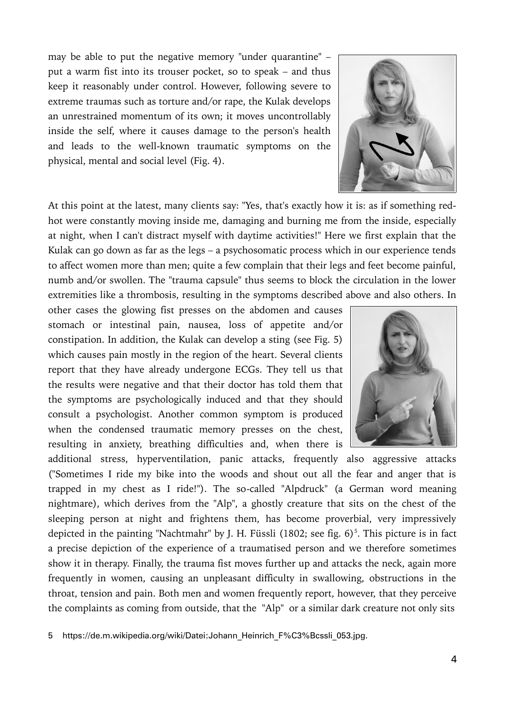may be able to put the negative memory "under quarantine" – put a warm fist into its trouser pocket, so to speak – and thus keep it reasonably under control. However, following severe to extreme traumas such as torture and/or rape, the Kulak develops an unrestrained momentum of its own; it moves uncontrollably inside the self, where it causes damage to the person's health and leads to the well-known traumatic symptoms on the physical, mental and social level (Fig. 4).



At this point at the latest, many clients say: "Yes, that's exactly how it is: as if something redhot were constantly moving inside me, damaging and burning me from the inside, especially at night, when I can't distract myself with daytime activities!" Here we first explain that the Kulak can go down as far as the legs – a psychosomatic process which in our experience tends to affect women more than men; quite a few complain that their legs and feet become painful, numb and/or swollen. The "trauma capsule" thus seems to block the circulation in the lower extremities like a thrombosis, resulting in the symptoms described above and also others. In

other cases the glowing fist presses on the abdomen and causes stomach or intestinal pain, nausea, loss of appetite and/or constipation. In addition, the Kulak can develop a sting (see Fig. 5) which causes pain mostly in the region of the heart. Several clients report that they have already undergone ECGs. They tell us that the results were negative and that their doctor has told them that the symptoms are psychologically induced and that they should consult a psychologist. Another common symptom is produced when the condensed traumatic memory presses on the chest, resulting in anxiety, breathing difficulties and, when there is



additional stress, hyperventilation, panic attacks, frequently also aggressive attacks ("Sometimes I ride my bike into the woods and shout out all the fear and anger that is trapped in my chest as I ride!"). The so-called "Alpdruck" (a German word meaning nightmare), which derives from the "Alp", a ghostly creature that sits on the chest of the sleeping person at night and frightens them, has become proverbial, very impressively depicted in the painting "Nachtmahr" by J. H. Füssli (1802; see fig. 6)<sup>[5](#page-3-0)</sup>. This picture is in fact a precise depiction of the experience of a traumatised person and we therefore sometimes show it in therapy. Finally, the trauma fist moves further up and attacks the neck, again more frequently in women, causing an unpleasant difficulty in swallowing, obstructions in the throat, tension and pain. Both men and women frequently report, however, that they perceive the complaints as coming from outside, that the "Alp" or a similar dark creature not only sits

<span id="page-3-0"></span>5 https://de.m.wikipedia.org/wiki/Datei:Johann\_Heinrich\_F%C3%Bcssli\_053.jpg.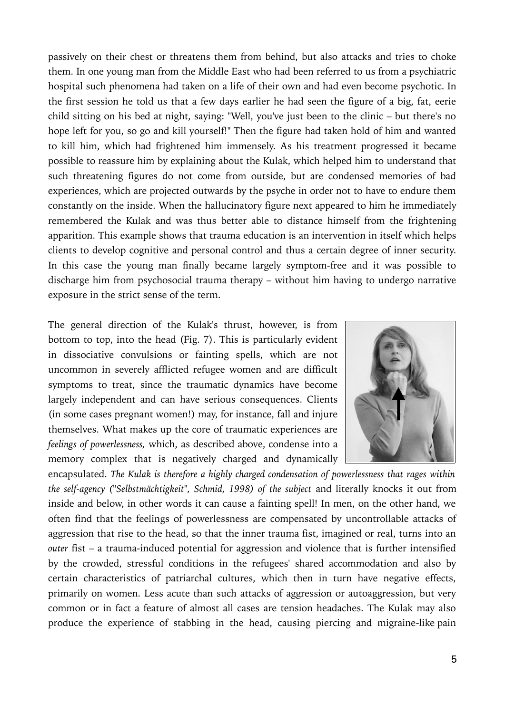passively on their chest or threatens them from behind, but also attacks and tries to choke them. In one young man from the Middle East who had been referred to us from a psychiatric hospital such phenomena had taken on a life of their own and had even become psychotic. In the first session he told us that a few days earlier he had seen the figure of a big, fat, eerie child sitting on his bed at night, saying: "Well, you've just been to the clinic – but there's no hope left for you, so go and kill yourself!" Then the figure had taken hold of him and wanted to kill him, which had frightened him immensely. As his treatment progressed it became possible to reassure him by explaining about the Kulak, which helped him to understand that such threatening figures do not come from outside, but are condensed memories of bad experiences, which are projected outwards by the psyche in order not to have to endure them constantly on the inside. When the hallucinatory figure next appeared to him he immediately remembered the Kulak and was thus better able to distance himself from the frightening apparition. This example shows that trauma education is an intervention in itself which helps clients to develop cognitive and personal control and thus a certain degree of inner security. In this case the young man finally became largely symptom-free and it was possible to discharge him from psychosocial trauma therapy – without him having to undergo narrative exposure in the strict sense of the term.

The general direction of the Kulak's thrust, however, is from bottom to top, into the head (Fig. 7). This is particularly evident in dissociative convulsions or fainting spells, which are not uncommon in severely afflicted refugee women and are difficult symptoms to treat, since the traumatic dynamics have become largely independent and can have serious consequences. Clients (in some cases pregnant women!) may, for instance, fall and injure themselves. What makes up the core of traumatic experiences are *feelings of powerlessness,* which, as described above, condense into a memory complex that is negatively charged and dynamically



encapsulated. *The Kulak is therefore a highly charged condensation of powerlessness that rages within the self-agency ("Selbstmächtigkeit", Schmid, 1998) of the subject* and literally knocks it out from inside and below, in other words it can cause a fainting spell! In men, on the other hand, we often find that the feelings of powerlessness are compensated by uncontrollable attacks of aggression that rise to the head, so that the inner trauma fist, imagined or real, turns into an *outer* fist – a trauma-induced potential for aggression and violence that is further intensified by the crowded, stressful conditions in the refugees' shared accommodation and also by certain characteristics of patriarchal cultures, which then in turn have negative effects, primarily on women. Less acute than such attacks of aggression or autoaggression, but very common or in fact a feature of almost all cases are tension headaches. The Kulak may also produce the experience of stabbing in the head, causing piercing and migraine-like pain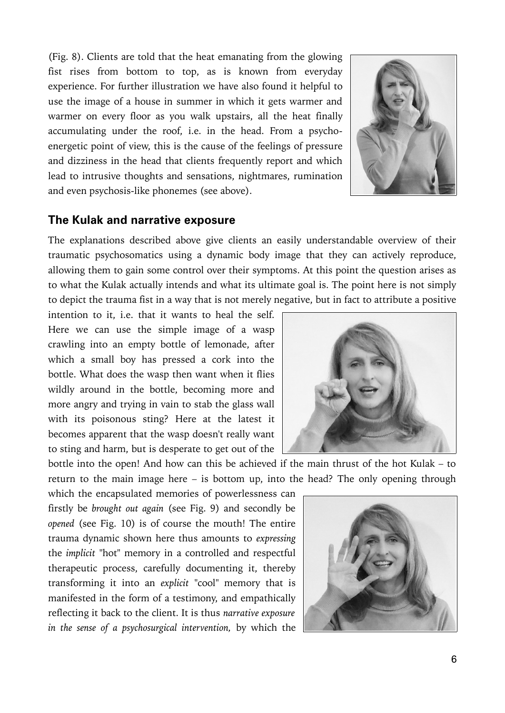(Fig. 8). Clients are told that the heat emanating from the glowing fist rises from bottom to top, as is known from everyday experience. For further illustration we have also found it helpful to use the image of a house in summer in which it gets warmer and warmer on every floor as you walk upstairs, all the heat finally accumulating under the roof, i.e. in the head. From a psychoenergetic point of view, this is the cause of the feelings of pressure and dizziness in the head that clients frequently report and which lead to intrusive thoughts and sensations, nightmares, rumination and even psychosis-like phonemes (see above).



#### **The Kulak and narrative exposure**

The explanations described above give clients an easily understandable overview of their traumatic psychosomatics using a dynamic body image that they can actively reproduce, allowing them to gain some control over their symptoms. At this point the question arises as to what the Kulak actually intends and what its ultimate goal is. The point here is not simply to depict the trauma fist in a way that is not merely negative, but in fact to attribute a positive

intention to it, i.e. that it wants to heal the self. Here we can use the simple image of a wasp crawling into an empty bottle of lemonade, after which a small boy has pressed a cork into the bottle. What does the wasp then want when it flies wildly around in the bottle, becoming more and more angry and trying in vain to stab the glass wall with its poisonous sting? Here at the latest it becomes apparent that the wasp doesn't really want to sting and harm, but is desperate to get out of the



bottle into the open! And how can this be achieved if the main thrust of the hot Kulak – to return to the main image here – is bottom up, into the head? The only opening through

which the encapsulated memories of powerlessness can firstly be *brought out again* (see Fig. 9) and secondly be *opened* (see Fig. 10) is of course the mouth! The entire trauma dynamic shown here thus amounts to *expressing* the *implicit* "hot" memory in a controlled and respectful therapeutic process, carefully documenting it, thereby transforming it into an *explicit* "cool" memory that is manifested in the form of a testimony, and empathically reflecting it back to the client. It is thus *narrative exposure in the sense of a psychosurgical intervention,* by which the

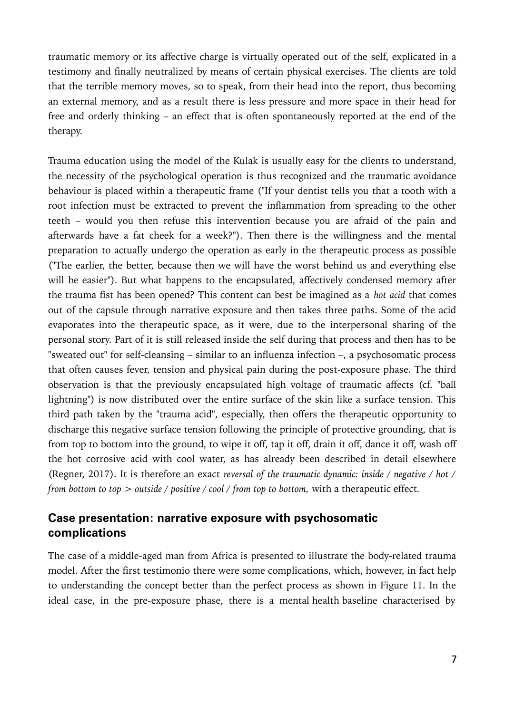traumatic memory or its affective charge is virtually operated out of the self, explicated in a testimony and finally neutralized by means of certain physical exercises. The clients are told that the terrible memory moves, so to speak, from their head into the report, thus becoming an external memory, and as a result there is less pressure and more space in their head for free and orderly thinking – an effect that is often spontaneously reported at the end of the therapy.

Trauma education using the model of the Kulak is usually easy for the clients to understand, the necessity of the psychological operation is thus recognized and the traumatic avoidance behaviour is placed within a therapeutic frame ("If your dentist tells you that a tooth with a root infection must be extracted to prevent the inflammation from spreading to the other teeth – would you then refuse this intervention because you are afraid of the pain and afterwards have a fat cheek for a week?"). Then there is the willingness and the mental preparation to actually undergo the operation as early in the therapeutic process as possible ("The earlier, the better, because then we will have the worst behind us and everything else will be easier"). But what happens to the encapsulated, affectively condensed memory after the trauma fist has been opened? This content can best be imagined as a *hot acid* that comes out of the capsule through narrative exposure and then takes three paths. Some of the acid evaporates into the therapeutic space, as it were, due to the interpersonal sharing of the personal story. Part of it is still released inside the self during that process and then has to be "sweated out" for self-cleansing – similar to an influenza infection –, a psychosomatic process that often causes fever, tension and physical pain during the post-exposure phase. The third observation is that the previously encapsulated high voltage of traumatic affects (cf. "ball lightning") is now distributed over the entire surface of the skin like a surface tension. This third path taken by the "trauma acid", especially, then offers the therapeutic opportunity to discharge this negative surface tension following the principle of protective grounding, that is from top to bottom into the ground, to wipe it off, tap it off, drain it off, dance it off, wash off the hot corrosive acid with cool water, as has already been described in detail elsewhere (Regner, 2017). It is therefore an exact *reversal of the traumatic dynamic: inside / negative / hot / from bottom to top > outside / positive / cool / from top to bottom,* with a therapeutic effect*.*

# **Case presentation: narrative exposure with psychosomatic complications**

The case of a middle-aged man from Africa is presented to illustrate the body-related trauma model. After the first testimonio there were some complications, which, however, in fact help to understanding the concept better than the perfect process as shown in Figure 11. In the ideal case, in the pre-exposure phase, there is a mental health baseline characterised by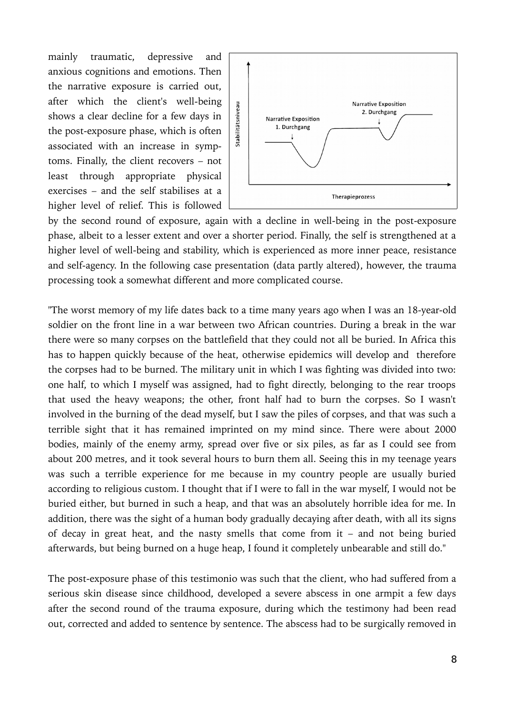mainly traumatic, depressive and anxious cognitions and emotions. Then the narrative exposure is carried out, after which the client's well-being shows a clear decline for a few days in the post-exposure phase, which is often associated with an increase in symptoms. Finally, the client recovers – not least through appropriate physical exercises – and the self stabilises at a higher level of relief. This is followed



by the second round of exposure, again with a decline in well-being in the post-exposure phase, albeit to a lesser extent and over a shorter period. Finally, the self is strengthened at a higher level of well-being and stability, which is experienced as more inner peace, resistance and self-agency. In the following case presentation (data partly altered), however, the trauma processing took a somewhat different and more complicated course.

"The worst memory of my life dates back to a time many years ago when I was an 18-year-old soldier on the front line in a war between two African countries. During a break in the war there were so many corpses on the battlefield that they could not all be buried. In Africa this has to happen quickly because of the heat, otherwise epidemics will develop and therefore the corpses had to be burned. The military unit in which I was fighting was divided into two: one half, to which I myself was assigned, had to fight directly, belonging to the rear troops that used the heavy weapons; the other, front half had to burn the corpses. So I wasn't involved in the burning of the dead myself, but I saw the piles of corpses, and that was such a terrible sight that it has remained imprinted on my mind since. There were about 2000 bodies, mainly of the enemy army, spread over five or six piles, as far as I could see from about 200 metres, and it took several hours to burn them all. Seeing this in my teenage years was such a terrible experience for me because in my country people are usually buried according to religious custom. I thought that if I were to fall in the war myself, I would not be buried either, but burned in such a heap, and that was an absolutely horrible idea for me. In addition, there was the sight of a human body gradually decaying after death, with all its signs of decay in great heat, and the nasty smells that come from it – and not being buried afterwards, but being burned on a huge heap, I found it completely unbearable and still do."

The post-exposure phase of this testimonio was such that the client, who had suffered from a serious skin disease since childhood, developed a severe abscess in one armpit a few days after the second round of the trauma exposure, during which the testimony had been read out, corrected and added to sentence by sentence. The abscess had to be surgically removed in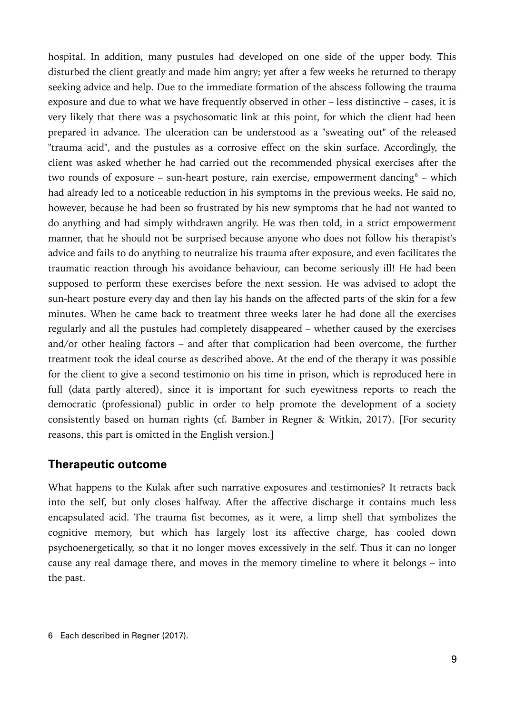hospital. In addition, many pustules had developed on one side of the upper body. This disturbed the client greatly and made him angry; yet after a few weeks he returned to therapy seeking advice and help. Due to the immediate formation of the abscess following the trauma exposure and due to what we have frequently observed in other – less distinctive – cases, it is very likely that there was a psychosomatic link at this point, for which the client had been prepared in advance. The ulceration can be understood as a "sweating out" of the released "trauma acid", and the pustules as a corrosive effect on the skin surface. Accordingly, the client was asked whether he had carried out the recommended physical exercises after the two rounds of exposure – sun-heart posture, rain exercise, empowerment dancing $^6$  $^6$  – which had already led to a noticeable reduction in his symptoms in the previous weeks. He said no, however, because he had been so frustrated by his new symptoms that he had not wanted to do anything and had simply withdrawn angrily. He was then told, in a strict empowerment manner, that he should not be surprised because anyone who does not follow his therapist's advice and fails to do anything to neutralize his trauma after exposure, and even facilitates the traumatic reaction through his avoidance behaviour, can become seriously ill! He had been supposed to perform these exercises before the next session. He was advised to adopt the sun-heart posture every day and then lay his hands on the affected parts of the skin for a few minutes. When he came back to treatment three weeks later he had done all the exercises regularly and all the pustules had completely disappeared – whether caused by the exercises and/or other healing factors – and after that complication had been overcome, the further treatment took the ideal course as described above. At the end of the therapy it was possible for the client to give a second testimonio on his time in prison, which is reproduced here in full (data partly altered), since it is important for such eyewitness reports to reach the democratic (professional) public in order to help promote the development of a society consistently based on human rights (cf. Bamber in Regner & Witkin, 2017). [For security reasons, this part is omitted in the English version.]

### **Therapeutic outcome**

What happens to the Kulak after such narrative exposures and testimonies? It retracts back into the self, but only closes halfway. After the affective discharge it contains much less encapsulated acid. The trauma fist becomes, as it were, a limp shell that symbolizes the cognitive memory, but which has largely lost its affective charge, has cooled down psychoenergetically, so that it no longer moves excessively in the self. Thus it can no longer cause any real damage there, and moves in the memory timeline to where it belongs – into the past.

<span id="page-8-0"></span><sup>6</sup> Each described in Regner (2017).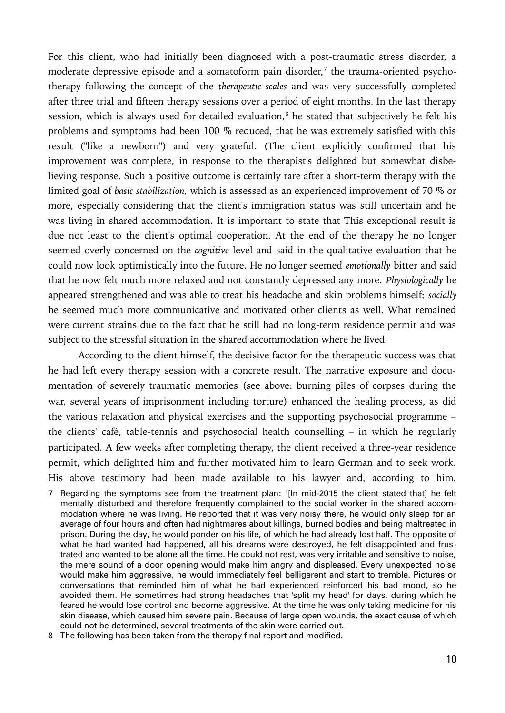For this client, who had initially been diagnosed with a post-traumatic stress disorder, a moderate depressive episode and a somatoform pain disorder, $^7$  $^7$  the trauma-oriented psychotherapy following the concept of the *therapeutic scales* and was very successfully completed after three trial and fifteen therapy sessions over a period of eight months. In the last therapy session, which is always used for detailed evaluation, $^8$  $^8$  he stated that subjectively he felt his problems and symptoms had been 100 % reduced, that he was extremely satisfied with this result ("like a newborn") and very grateful. (The client explicitly confirmed that his improvement was complete, in response to the therapist's delighted but somewhat disbelieving response. Such a positive outcome is certainly rare after a short-term therapy with the limited goal of *basic stabilization,* which is assessed as an experienced improvement of 70 % or more, especially considering that the client's immigration status was still uncertain and he was living in shared accommodation. It is important to state that This exceptional result is due not least to the client's optimal cooperation. At the end of the therapy he no longer seemed overly concerned on the *cognitive* level and said in the qualitative evaluation that he could now look optimistically into the future. He no longer seemed *emotionally* bitter and said that he now felt much more relaxed and not constantly depressed any more. *Physiologically* he appeared strengthened and was able to treat his headache and skin problems himself; *socially* he seemed much more communicative and motivated other clients as well. What remained were current strains due to the fact that he still had no long-term residence permit and was subject to the stressful situation in the shared accommodation where he lived.

According to the client himself, the decisive factor for the therapeutic success was that he had left every therapy session with a concrete result. The narrative exposure and documentation of severely traumatic memories (see above: burning piles of corpses during the war, several years of imprisonment including torture) enhanced the healing process, as did the various relaxation and physical exercises and the supporting psychosocial programme – the clients' café, table-tennis and psychosocial health counselling – in which he regularly participated. A few weeks after completing therapy, the client received a three-year residence permit, which delighted him and further motivated him to learn German and to seek work. His above testimony had been made available to his lawyer and, according to him,

- <span id="page-9-0"></span>7 Regarding the symptoms see from the treatment plan: "[In mid-2015 the client stated that] he felt mentally disturbed and therefore frequently complained to the social worker in the shared accommodation where he was living. He reported that it was very noisy there, he would only sleep for an average of four hours and often had nightmares about killings, burned bodies and being maltreated in prison. During the day, he would ponder on his life, of which he had already lost half. The opposite of what he had wanted had happened, all his dreams were destroyed, he felt disappointed and frustrated and wanted to be alone all the time. He could not rest, was very irritable and sensitive to noise, the mere sound of a door opening would make him angry and displeased. Every unexpected noise would make him aggressive, he would immediately feel belligerent and start to tremble. Pictures or conversations that reminded him of what he had experienced reinforced his bad mood, so he avoided them. He sometimes had strong headaches that 'split my head' for days, during which he feared he would lose control and become aggressive. At the time he was only taking medicine for his skin disease, which caused him severe pain. Because of large open wounds, the exact cause of which could not be determined, several treatments of the skin were carried out.
- <span id="page-9-1"></span>8 The following has been taken from the therapy final report and modified.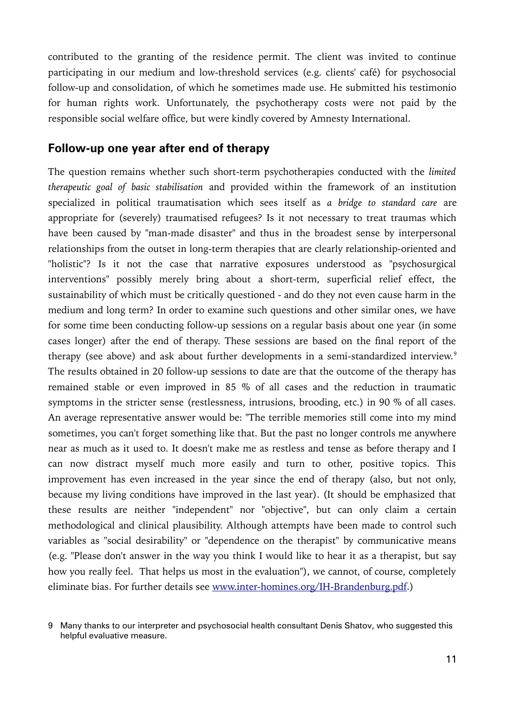contributed to the granting of the residence permit. The client was invited to continue participating in our medium and low-threshold services (e.g. clients' café) for psychosocial follow-up and consolidation, of which he sometimes made use. He submitted his testimonio for human rights work. Unfortunately, the psychotherapy costs were not paid by the responsible social welfare office, but were kindly covered by Amnesty International.

#### **Follow-up one year after end of therapy**

The question remains whether such short-term psychotherapies conducted with the *limited therapeutic goal of basic stabilisation* and provided within the framework of an institution specialized in political traumatisation which sees itself as *a bridge to standard care* are appropriate for (severely) traumatised refugees? Is it not necessary to treat traumas which have been caused by "man-made disaster" and thus in the broadest sense by interpersonal relationships from the outset in long-term therapies that are clearly relationship-oriented and "holistic"? Is it not the case that narrative exposures understood as "psychosurgical interventions" possibly merely bring about a short-term, superficial relief effect, the sustainability of which must be critically questioned - and do they not even cause harm in the medium and long term? In order to examine such questions and other similar ones, we have for some time been conducting follow-up sessions on a regular basis about one year (in some cases longer) after the end of therapy. These sessions are based on the final report of the therapy (see above) and ask about further developments in a semi-standardized interview.<sup>[9](#page-10-0)</sup> The results obtained in 20 follow-up sessions to date are that the outcome of the therapy has remained stable or even improved in 85 % of all cases and the reduction in traumatic symptoms in the stricter sense (restlessness, intrusions, brooding, etc.) in 90 % of all cases. An average representative answer would be: "The terrible memories still come into my mind sometimes, you can't forget something like that. But the past no longer controls me anywhere near as much as it used to. It doesn't make me as restless and tense as before therapy and I can now distract myself much more easily and turn to other, positive topics. This improvement has even increased in the year since the end of therapy (also, but not only, because my living conditions have improved in the last year). (It should be emphasized that these results are neither "independent" nor "objective", but can only claim a certain methodological and clinical plausibility. Although attempts have been made to control such variables as "social desirability" or "dependence on the therapist" by communicative means (e.g. "Please don't answer in the way you think I would like to hear it as a therapist, but say how you really feel. That helps us most in the evaluation"), we cannot, of course, completely eliminate bias. For further details see [www.inter-homines.org/IH-Brandenburg.pdf.](http://www.inter-homines.org/IH-Brandenburg.pdf))

<span id="page-10-0"></span><sup>9</sup> Many thanks to our interpreter and psychosocial health consultant Denis Shatov, who suggested this helpful evaluative measure.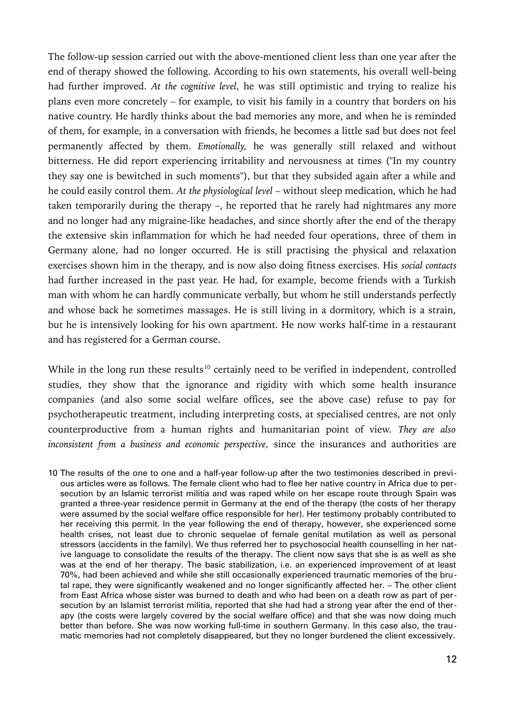The follow-up session carried out with the above-mentioned client less than one year after the end of therapy showed the following. According to his own statements, his overall well-being had further improved. *At the cognitive level,* he was still optimistic and trying to realize his plans even more concretely – for example, to visit his family in a country that borders on his native country. He hardly thinks about the bad memories any more, and when he is reminded of them, for example, in a conversation with friends, he becomes a little sad but does not feel permanently affected by them. *Emotionally,* he was generally still relaxed and without bitterness. He did report experiencing irritability and nervousness at times ("In my country they say one is bewitched in such moments"), but that they subsided again after a while and he could easily control them. *At the physiological level* – without sleep medication, which he had taken temporarily during the therapy –, he reported that he rarely had nightmares any more and no longer had any migraine-like headaches, and since shortly after the end of the therapy the extensive skin inflammation for which he had needed four operations, three of them in Germany alone, had no longer occurred. He is still practising the physical and relaxation exercises shown him in the therapy, and is now also doing fitness exercises. His *social contacts* had further increased in the past year. He had, for example, become friends with a Turkish man with whom he can hardly communicate verbally, but whom he still understands perfectly and whose back he sometimes massages. He is still living in a dormitory, which is a strain, but he is intensively looking for his own apartment. He now works half-time in a restaurant and has registered for a German course.

While in the long run these results<sup>[10](#page-11-0)</sup> certainly need to be verified in independent, controlled studies, they show that the ignorance and rigidity with which some health insurance companies (and also some social welfare offices, see the above case) refuse to pay for psychotherapeutic treatment, including interpreting costs, at specialised centres, are not only counterproductive from a human rights and humanitarian point of view. *They are also inconsistent from a business and economic perspective,* since the insurances and authorities are

<span id="page-11-0"></span>10 The results of the one to one and a half-year follow-up after the two testimonies described in previous articles were as follows. The female client who had to flee her native country in Africa due to persecution by an Islamic terrorist militia and was raped while on her escape route through Spain was granted a three-year residence permit in Germany at the end of the therapy (the costs of her therapy were assumed by the social welfare office responsible for her). Her testimony probably contributed to her receiving this permit. In the year following the end of therapy, however, she experienced some health crises, not least due to chronic sequelae of female genital mutilation as well as personal stressors (accidents in the family). We thus referred her to psychosocial health counselling in her native language to consolidate the results of the therapy. The client now says that she is as well as she was at the end of her therapy. The basic stabilization, i.e. an experienced improvement of at least 70%, had been achieved and while she still occasionally experienced traumatic memories of the brutal rape, they were significantly weakened and no longer significantly affected her. – The other client from East Africa whose sister was burned to death and who had been on a death row as part of persecution by an Islamist terrorist militia, reported that she had had a strong year after the end of therapy (the costs were largely covered by the social welfare office) and that she was now doing much better than before. She was now working full-time in southern Germany. In this case also, the traumatic memories had not completely disappeared, but they no longer burdened the client excessively.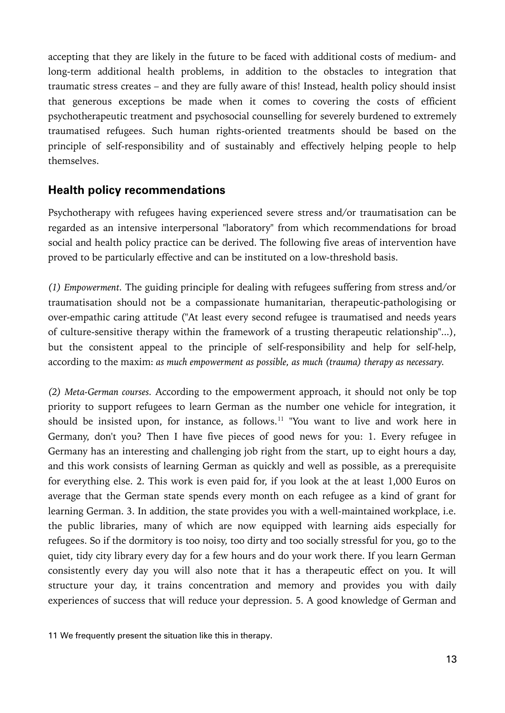accepting that they are likely in the future to be faced with additional costs of medium- and long-term additional health problems, in addition to the obstacles to integration that traumatic stress creates – and they are fully aware of this! Instead, health policy should insist that generous exceptions be made when it comes to covering the costs of efficient psychotherapeutic treatment and psychosocial counselling for severely burdened to extremely traumatised refugees. Such human rights-oriented treatments should be based on the principle of self-responsibility and of sustainably and effectively helping people to help themselves.

# **Health policy recommendations**

Psychotherapy with refugees having experienced severe stress and/or traumatisation can be regarded as an intensive interpersonal "laboratory" from which recommendations for broad social and health policy practice can be derived. The following five areas of intervention have proved to be particularly effective and can be instituted on a low-threshold basis.

*(1) Empowerment.* The guiding principle for dealing with refugees suffering from stress and/or traumatisation should not be a compassionate humanitarian, therapeutic-pathologising or over-empathic caring attitude ("At least every second refugee is traumatised and needs years of culture-sensitive therapy within the framework of a trusting therapeutic relationship"...), but the consistent appeal to the principle of self-responsibility and help for self-help, according to the maxim: *as much empowerment as possible, as much (trauma) therapy as necessary.*

*(2) Meta-German courses.* According to the empowerment approach, it should not only be top priority to support refugees to learn German as the number one vehicle for integration, it should be insisted upon, for instance, as follows.<sup>[11](#page-12-0)</sup> "You want to live and work here in Germany, don't you? Then I have five pieces of good news for you: 1. Every refugee in Germany has an interesting and challenging job right from the start, up to eight hours a day, and this work consists of learning German as quickly and well as possible, as a prerequisite for everything else. 2. This work is even paid for, if you look at the at least 1,000 Euros on average that the German state spends every month on each refugee as a kind of grant for learning German. 3. In addition, the state provides you with a well-maintained workplace, i.e. the public libraries, many of which are now equipped with learning aids especially for refugees. So if the dormitory is too noisy, too dirty and too socially stressful for you, go to the quiet, tidy city library every day for a few hours and do your work there. If you learn German consistently every day you will also note that it has a therapeutic effect on you. It will structure your day, it trains concentration and memory and provides you with daily experiences of success that will reduce your depression. 5. A good knowledge of German and

<span id="page-12-0"></span>11 We frequently present the situation like this in therapy.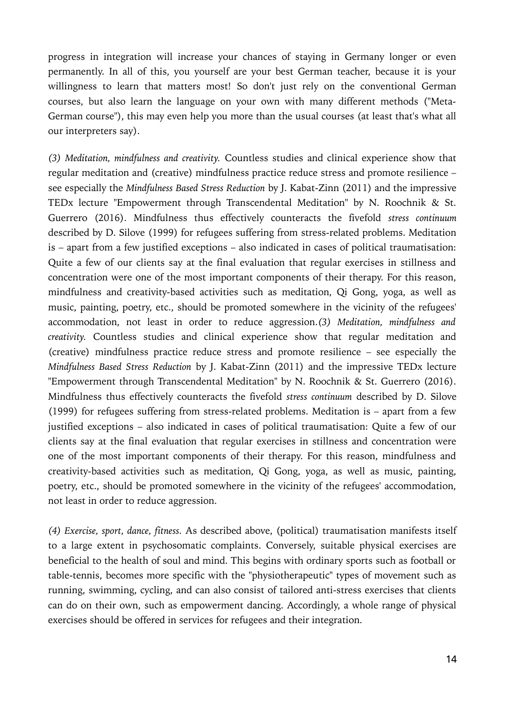progress in integration will increase your chances of staying in Germany longer or even permanently. In all of this, you yourself are your best German teacher, because it is your willingness to learn that matters most! So don't just rely on the conventional German courses, but also learn the language on your own with many different methods ("Meta-German course"), this may even help you more than the usual courses (at least that's what all our interpreters say).

*(3) Meditation, mindfulness and creativity.* Countless studies and clinical experience show that regular meditation and (creative) mindfulness practice reduce stress and promote resilience – see especially the *Mindfulness Based Stress Reduction* by J. Kabat-Zinn (2011) and the impressive TEDx lecture "Empowerment through Transcendental Meditation" by N. Roochnik & St. Guerrero (2016). Mindfulness thus effectively counteracts the fivefold *stress continuum* described by D. Silove (1999) for refugees suffering from stress-related problems. Meditation is – apart from a few justified exceptions – also indicated in cases of political traumatisation: Quite a few of our clients say at the final evaluation that regular exercises in stillness and concentration were one of the most important components of their therapy. For this reason, mindfulness and creativity-based activities such as meditation, Qi Gong, yoga, as well as music, painting, poetry, etc., should be promoted somewhere in the vicinity of the refugees' accommodation, not least in order to reduce aggression.*(3) Meditation, mindfulness and creativity.* Countless studies and clinical experience show that regular meditation and (creative) mindfulness practice reduce stress and promote resilience – see especially the *Mindfulness Based Stress Reduction* by J. Kabat-Zinn (2011) and the impressive TEDx lecture "Empowerment through Transcendental Meditation" by N. Roochnik & St. Guerrero (2016). Mindfulness thus effectively counteracts the fivefold *stress continuum* described by D. Silove (1999) for refugees suffering from stress-related problems. Meditation is – apart from a few justified exceptions – also indicated in cases of political traumatisation: Quite a few of our clients say at the final evaluation that regular exercises in stillness and concentration were one of the most important components of their therapy. For this reason, mindfulness and creativity-based activities such as meditation, Qi Gong, yoga, as well as music, painting, poetry, etc., should be promoted somewhere in the vicinity of the refugees' accommodation, not least in order to reduce aggression.

*(4) Exercise, sport, dance, fitness.* As described above, (political) traumatisation manifests itself to a large extent in psychosomatic complaints. Conversely, suitable physical exercises are beneficial to the health of soul and mind. This begins with ordinary sports such as football or table-tennis, becomes more specific with the "physiotherapeutic" types of movement such as running, swimming, cycling, and can also consist of tailored anti-stress exercises that clients can do on their own, such as empowerment dancing. Accordingly, a whole range of physical exercises should be offered in services for refugees and their integration.